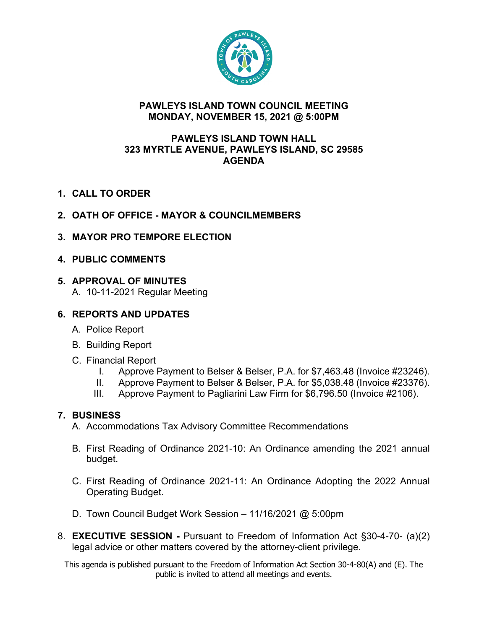

### **PAWLEYS ISLAND TOWN COUNCIL MEETING MONDAY, NOVEMBER 15, 2021 @ 5:00PM**

#### **PAWLEYS ISLAND TOWN HALL 323 MYRTLE AVENUE, PAWLEYS ISLAND, SC 29585 AGENDA**

- **1. CALL TO ORDER**
- **2. OATH OF OFFICE - MAYOR & COUNCILMEMBERS**
- **3. MAYOR PRO TEMPORE ELECTION**
- **4. PUBLIC COMMENTS**

### **5. APPROVAL OF MINUTES**

A. 10-11-2021 Regular Meeting

# **6. REPORTS AND UPDATES**

- A. Police Report
- B. Building Report
- C. Financial Report
	- I. Approve Payment to Belser & Belser, P.A. for \$7,463.48 (Invoice #23246).
	- II. Approve Payment to Belser & Belser, P.A. for \$5,038.48 (Invoice #23376).
	- III. Approve Payment to Pagliarini Law Firm for \$6,796.50 (Invoice #2106).

## **7. BUSINESS**

- A. Accommodations Tax Advisory Committee Recommendations
- B. First Reading of Ordinance 2021-10: An Ordinance amending the 2021 annual budget.
- C. First Reading of Ordinance 2021-11: An Ordinance Adopting the 2022 Annual Operating Budget.
- D. Town Council Budget Work Session 11/16/2021 @ 5:00pm
- 8. **EXECUTIVE SESSION -** Pursuant to Freedom of Information Act §30-4-70- (a)(2) legal advice or other matters covered by the attorney-client privilege.

This agenda is published pursuant to the Freedom of Information Act Section 30-4-80(A) and (E). The public is invited to attend all meetings and events.